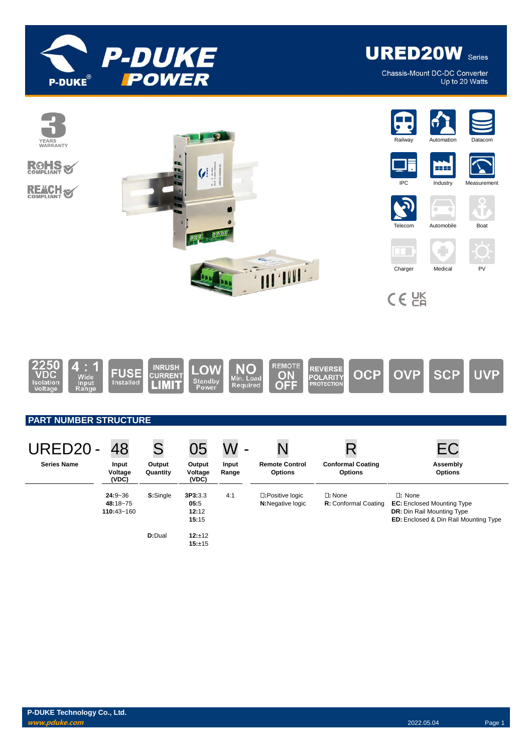

**URED20W** Series

Chassis-Mount DC-DC Converter Up to 20 Watts



## **PART NUMBER STRUCTURE**

| URED20-            | 48                                        | S                  | 05                                | -              |                                              |                                                 |                                                                                                                                            |
|--------------------|-------------------------------------------|--------------------|-----------------------------------|----------------|----------------------------------------------|-------------------------------------------------|--------------------------------------------------------------------------------------------------------------------------------------------|
| <b>Series Name</b> | Input<br>Voltage<br>(VDC)                 | Output<br>Quantity | Output<br>Voltage<br>(VDC)        | Input<br>Range | <b>Remote Control</b><br><b>Options</b>      | <b>Conformal Coating</b><br><b>Options</b>      | Assembly<br><b>Options</b>                                                                                                                 |
|                    | $24:9 - 36$<br>48:18~75<br>$110:43 - 160$ | S:Single           | 3P3:3.3<br>05:5<br>12:12<br>15:15 | 4:1            | □:Positive logic<br><b>N:</b> Negative logic | $\square$ : None<br><b>R:</b> Conformal Coating | $\square$ : None<br><b>EC:</b> Enclosed Mounting Type<br><b>DR:</b> Din Rail Mounting Type<br><b>ED:</b> Enclosed & Din Rail Mounting Type |
|                    |                                           | <b>D:</b> Dual     | 12:±12<br>15:±15                  |                |                                              |                                                 |                                                                                                                                            |

**OFF**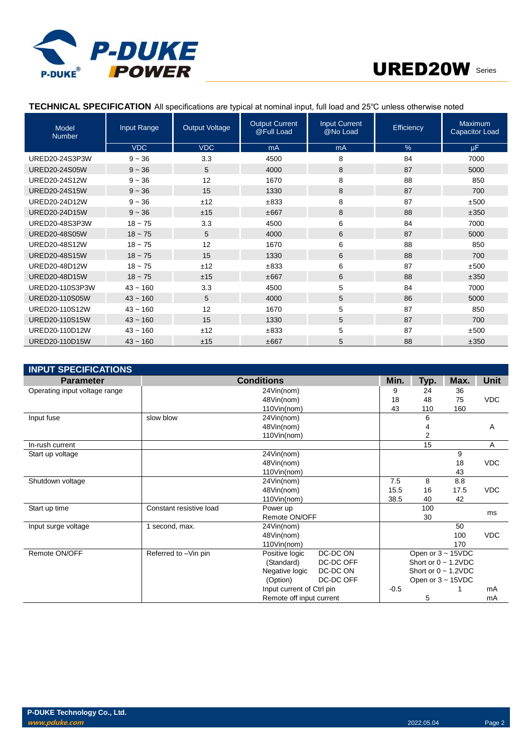



# **TECHNICAL SPECIFICATION** All specifications are typical at nominal input, full load and 25℃ unless otherwise noted

| <b>Model</b><br><b>Number</b> | Input Range | <b>Output Voltage</b> | <b>Output Current</b><br>@Full Load | <b>Input Current</b><br>@No Load | Efficiency | Maximum<br><b>Capacitor Load</b> |
|-------------------------------|-------------|-----------------------|-------------------------------------|----------------------------------|------------|----------------------------------|
|                               | <b>VDC</b>  | <b>VDC</b>            | mA                                  | mA                               | %          | <b>uF</b>                        |
| URED20-24S3P3W                | $9 - 36$    | 3.3                   | 4500                                | 8                                | 84         | 7000                             |
| <b>URED20-24S05W</b>          | $9 - 36$    | 5                     | 4000                                | 8                                | 87         | 5000                             |
| URED20-24S12W                 | $9 - 36$    | 12                    | 1670                                | 8                                | 88         | 850                              |
| <b>URED20-24S15W</b>          | $9 - 36$    | 15                    | 1330                                | 8                                | 87         | 700                              |
| URFD20-24D12W                 | $9 - 36$    | ±12                   | ±833                                | 8                                | 87         | ±500                             |
| <b>URED20-24D15W</b>          | $9 - 36$    | ±15                   | ±667                                | 8                                | 88         | ±350                             |
| URED20-48S3P3W                | $18 - 75$   | 3.3                   | 4500                                | 6                                | 84         | 7000                             |
| <b>URED20-48S05W</b>          | $18 - 75$   | 5                     | 4000                                | 6                                | 87         | 5000                             |
| URED20-48S12W                 | $18 - 75$   | 12                    | 1670                                | 6                                | 88         | 850                              |
| <b>URED20-48S15W</b>          | $18 - 75$   | 15                    | 1330                                | 6                                | 88         | 700                              |
| URED20-48D12W                 | $18 - 75$   | ±12                   | ±833                                | 6                                | 87         | ±500                             |
| <b>URED20-48D15W</b>          | $18 - 75$   | ±15                   | ±667                                | 6                                | 88         | ±350                             |
| URED20-110S3P3W               | $43 - 160$  | 3.3                   | 4500                                | 5                                | 84         | 7000                             |
| URED20-110S05W                | $43 - 160$  | 5                     | 4000                                | 5                                | 86         | 5000                             |
| URED20-110S12W                | $43 - 160$  | 12                    | 1670                                | 5                                | 87         | 850                              |
| URED20-110S15W                | $43 - 160$  | 15                    | 1330                                | 5                                | 87         | 700                              |
| URED20-110D12W                | $43 - 160$  | ±12                   | ±833                                | 5                                | 87         | ±500                             |
| URED20-110D15W                | $43 - 160$  | ±15                   | ±667                                | 5                                | 88         | ±350                             |

| <b>INPUT SPECIFICATIONS</b>   |                         |                           |           |        |                           |      |             |
|-------------------------------|-------------------------|---------------------------|-----------|--------|---------------------------|------|-------------|
| <b>Parameter</b>              | <b>Conditions</b>       |                           |           | Min.   | Typ.                      | Max. | <b>Unit</b> |
| Operating input voltage range |                         | 24Vin(nom)                |           | 9      | 24                        | 36   |             |
|                               |                         | 48Vin(nom)                |           | 18     | 48                        | 75   | <b>VDC</b>  |
|                               |                         | 110Vin(nom)               |           | 43     | 110                       | 160  |             |
| Input fuse                    | slow blow               | 24Vin(nom)                |           |        | 6                         |      |             |
|                               |                         | 48Vin(nom)                |           |        | 4                         |      | Α           |
|                               |                         | 110Vin(nom)               |           |        | $\overline{2}$            |      |             |
| In-rush current               |                         |                           |           |        | 15                        |      | Α           |
| Start up voltage              |                         | 24Vin(nom)                |           |        |                           | 9    |             |
|                               |                         | 48Vin(nom)                |           |        |                           | 18   | <b>VDC</b>  |
|                               |                         | 110Vin(nom)               |           |        |                           | 43   |             |
| Shutdown voltage              |                         | 24Vin(nom)                |           | 7.5    | 8                         | 8.8  |             |
|                               |                         | 48Vin(nom)                |           | 15.5   | 16                        | 17.5 | <b>VDC</b>  |
|                               |                         | 110Vin(nom)               |           | 38.5   | 40                        | 42   |             |
| Start up time                 | Constant resistive load | Power up                  |           |        | 100                       |      | ms          |
|                               |                         | Remote ON/OFF             |           |        | 30                        |      |             |
| Input surge voltage           | 1 second, max.          | 24Vin(nom)                |           |        |                           | 50   |             |
|                               |                         | 48Vin(nom)                |           |        |                           | 100  | <b>VDC</b>  |
|                               |                         | 110Vin(nom)               |           |        |                           | 170  |             |
| Remote ON/OFF                 | Referred to -Vin pin    | Positive logic            | DC-DC ON  |        | Open or $3 \sim 15$ VDC   |      |             |
|                               |                         | (Standard)                | DC-DC OFF |        | Short or $0 \sim 1.2$ VDC |      |             |
|                               |                         | Negative logic            | DC-DC ON  |        | Short or $0 \sim 1.2$ VDC |      |             |
|                               |                         | (Option)                  | DC-DC OFF |        | Open or $3 \sim 15$ VDC   |      |             |
|                               |                         | Input current of Ctrl pin |           | $-0.5$ |                           |      | mA          |
|                               |                         | Remote off input current  |           |        | 5                         |      | mA          |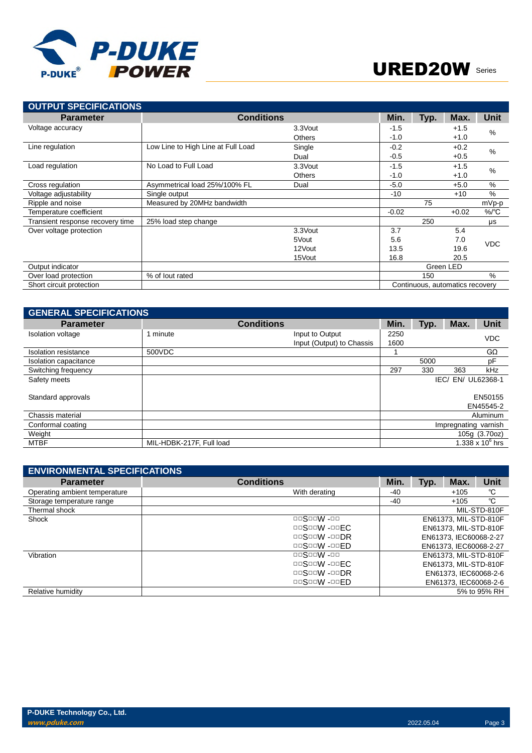

| <b>OUTPUT SPECIFICATIONS</b>     |                                    |               |         |      |                                 |               |
|----------------------------------|------------------------------------|---------------|---------|------|---------------------------------|---------------|
| <b>Parameter</b>                 | <b>Conditions</b>                  |               | Min.    | Typ. | Max.                            | <b>Unit</b>   |
| Voltage accuracy                 |                                    | 3.3Vout       | $-1.5$  |      | $+1.5$                          | $\%$          |
|                                  |                                    | <b>Others</b> | $-1.0$  |      | $+1.0$                          |               |
| Line regulation                  | Low Line to High Line at Full Load | Single        | $-0.2$  |      | $+0.2$                          | $\%$          |
|                                  |                                    | Dual          | $-0.5$  |      | $+0.5$                          |               |
| Load regulation                  | No Load to Full Load               | 3.3Vout       | $-1.5$  |      | $+1.5$                          | $\frac{0}{0}$ |
|                                  |                                    | <b>Others</b> | $-1.0$  |      | $+1.0$                          |               |
| Cross regulation                 | Asymmetrical load 25%/100% FL      | Dual          | $-5.0$  |      | $+5.0$                          | %             |
| Voltage adjustability            | Single output                      |               | $-10$   |      | $+10$                           | %             |
| Ripple and noise                 | Measured by 20MHz bandwidth        |               |         | 75   |                                 | mVp-p         |
| Temperature coefficient          |                                    |               | $-0.02$ |      | $+0.02$                         | $\%$ /°C      |
| Transient response recovery time | 25% load step change               |               |         | 250  |                                 | μs            |
| Over voltage protection          |                                    | 3.3Vout       | 3.7     |      | 5.4                             |               |
|                                  |                                    | 5Vout         | 5.6     |      | 7.0                             | <b>VDC</b>    |
|                                  |                                    | 12Vout        | 13.5    |      | 19.6                            |               |
|                                  |                                    | 15Vout        | 16.8    |      | 20.5                            |               |
| Output indicator                 |                                    |               |         |      | Green LED                       |               |
| Over load protection             | % of lout rated                    |               |         | 150  |                                 | $\%$          |
| Short circuit protection         |                                    |               |         |      | Continuous, automatics recovery |               |

| <b>GENERAL SPECIFICATIONS</b> |                           |                   |      |      |                              |
|-------------------------------|---------------------------|-------------------|------|------|------------------------------|
|                               |                           | Min.              | Typ. | Max. | <b>Unit</b>                  |
| I minute                      | Input to Output           | 2250              |      |      | <b>VDC</b>                   |
|                               | Input (Output) to Chassis | 1600              |      |      |                              |
| 500VDC                        |                           |                   |      |      | $G\Omega$                    |
|                               |                           |                   | 5000 |      | pF                           |
|                               |                           | 297               | 330  | 363  | kHz                          |
|                               |                           |                   |      |      | EN/ UL62368-1                |
|                               |                           |                   |      |      | EN50155<br>EN45545-2         |
|                               |                           |                   |      |      | Aluminum                     |
|                               |                           |                   |      |      |                              |
|                               |                           |                   |      |      | 105g (3.70oz)                |
| MIL-HDBK-217F, Full load      |                           |                   |      |      | 1.338 x $10^6$ hrs           |
|                               |                           | <b>Conditions</b> |      |      | IEC/<br>Impregnating varnish |

| <b>ENVIRONMENTAL SPECIFICATIONS</b> |                                          |      |      |                        |              |
|-------------------------------------|------------------------------------------|------|------|------------------------|--------------|
| <b>Parameter</b>                    | <b>Conditions</b>                        | Min. | Typ. | Max.                   | <b>Unit</b>  |
| Operating ambient temperature       | With derating                            | -40  |      | $+105$                 | °C           |
| Storage temperature range           |                                          | -40  |      | $+105$                 | °C           |
| Thermal shock                       |                                          |      |      |                        | MIL-STD-810F |
| Shock                               | $\Box$ $\Box$ S $\Box$ W - $\Box$ $\Box$ |      |      | EN61373, MIL-STD-810F  |              |
|                                     | $\Box$ S $\Box$ W - $\Box$ FC            |      |      | EN61373, MIL-STD-810F  |              |
|                                     | $\Box$ S $\Box$ W - $\Box$ DR            |      |      | EN61373. IEC60068-2-27 |              |
|                                     | $\Box$ S $\Box$ W - $\Box$ FD            |      |      | EN61373. IEC60068-2-27 |              |
| Vibration                           | $\Box$ $\Box$ S $\Box$ W - $\Box$ $\Box$ |      |      | EN61373, MIL-STD-810F  |              |
|                                     | $\Box$ S $\Box$ W - $\Box$ FC            |      |      | EN61373, MIL-STD-810F  |              |
|                                     | $\Box$ S $\Box$ W - $\Box$ DR            |      |      | EN61373, IEC60068-2-6  |              |
|                                     | $\Box$ S $\Box$ W - $\Box$ FD            |      |      | EN61373, IEC60068-2-6  |              |
| Relative humidity                   |                                          |      |      |                        | 5% to 95% RH |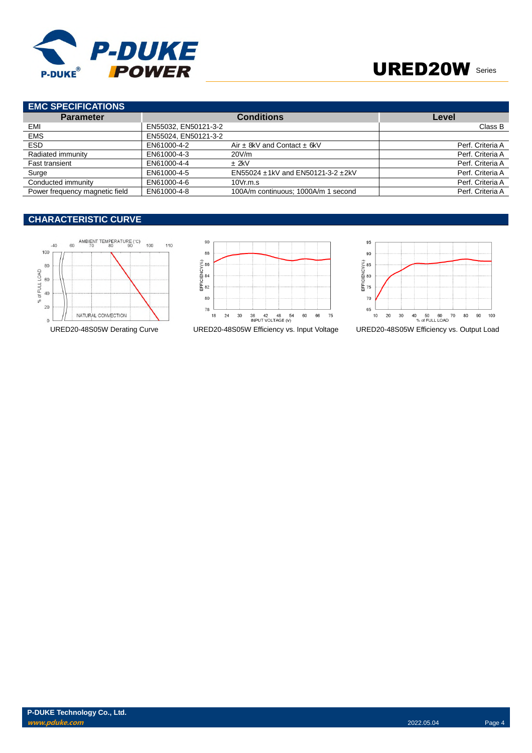

# URED20W Series

| <b>EMC SPECIFICATIONS</b>      |                      |                                     |                  |
|--------------------------------|----------------------|-------------------------------------|------------------|
| <b>Parameter</b>               |                      | <b>Conditions</b>                   | Level            |
| EMI                            | EN55032, EN50121-3-2 |                                     | Class B          |
| <b>EMS</b>                     | EN55024, EN50121-3-2 |                                     |                  |
| <b>ESD</b>                     | EN61000-4-2          | Air $\pm$ 8kV and Contact $\pm$ 6kV | Perf. Criteria A |
| Radiated immunity              | EN61000-4-3          | 20V/m                               | Perf. Criteria A |
| Fast transient                 | EN61000-4-4          | $±$ 2kV                             | Perf. Criteria A |
| Surge                          | EN61000-4-5          | EN55024 ±1kV and EN50121-3-2 ±2kV   | Perf. Criteria A |
| Conducted immunity             | EN61000-4-6          | 10Vr.m.s                            | Perf. Criteria A |
| Power frequency magnetic field | EN61000-4-8          | 100A/m continuous; 1000A/m 1 second | Perf. Criteria A |

# **CHARACTERISTIC CURVE**